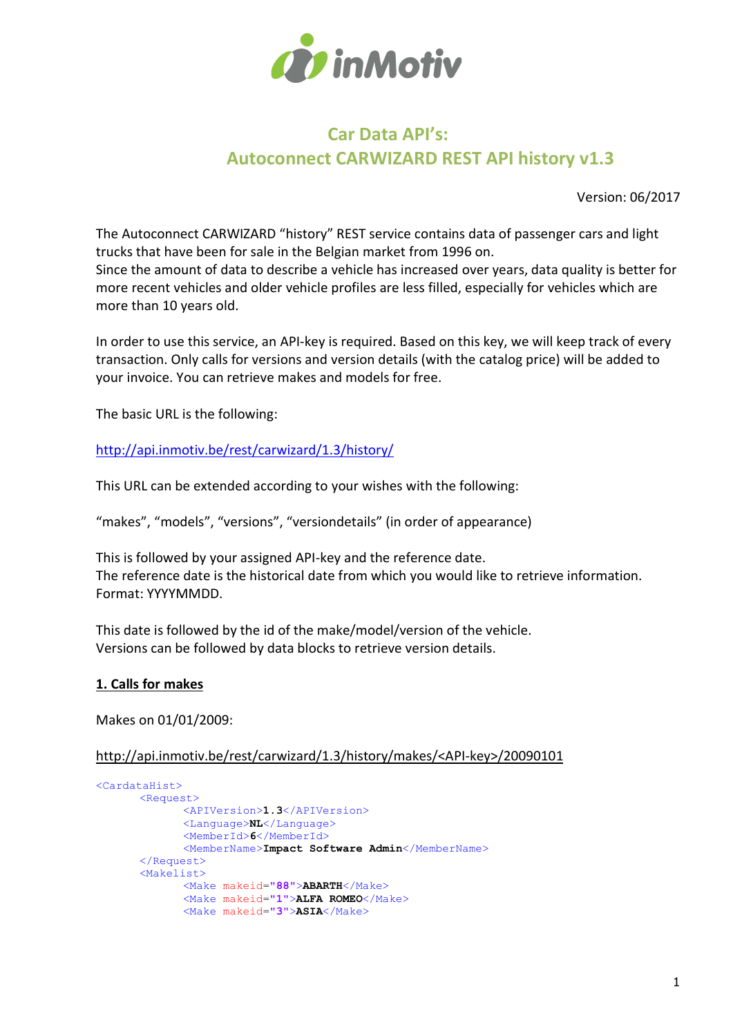

# Car Data API's: Autoconnect CARWIZARD REST API history v1.3

Version: 06/2017

The Autoconnect CARWIZARD "history" REST service contains data of passenger cars and light trucks that have been for sale in the Belgian market from 1996 on. Since the amount of data to describe a vehicle has increased over years, data quality is better for more recent vehicles and older vehicle profiles are less filled, especially for vehicles which are more than 10 years old.

In order to use this service, an API-key is required. Based on this key, we will keep track of every transaction. Only calls for versions and version details (with the catalog price) will be added to your invoice. You can retrieve makes and models for free.

The basic URL is the following:

http://api.inmotiv.be/rest/carwizard/1.3/history/

This URL can be extended according to your wishes with the following:

"makes", "models", "versions", "versiondetails" (in order of appearance)

This is followed by your assigned API-key and the reference date. The reference date is the historical date from which you would like to retrieve information. Format: YYYYMMDD.

This date is followed by the id of the make/model/version of the vehicle. Versions can be followed by data blocks to retrieve version details.

# 1. Calls for makes

Makes on 01/01/2009:

http://api.inmotiv.be/rest/carwizard/1.3/history/makes/<API-key>/20090101

```
<CardataHist>
      <Request> 
              <APIVersion>1.3</APIVersion>
              <Language>NL</Language>
              <MemberId>6</MemberId>
              <MemberName>Impact Software Admin</MemberName>
      </Request>
      <Makelist>
              <Make makeid="88">ABARTH</Make>
              <Make makeid="1">ALFA ROMEO</Make>
              <Make makeid="3">ASIA</Make>
```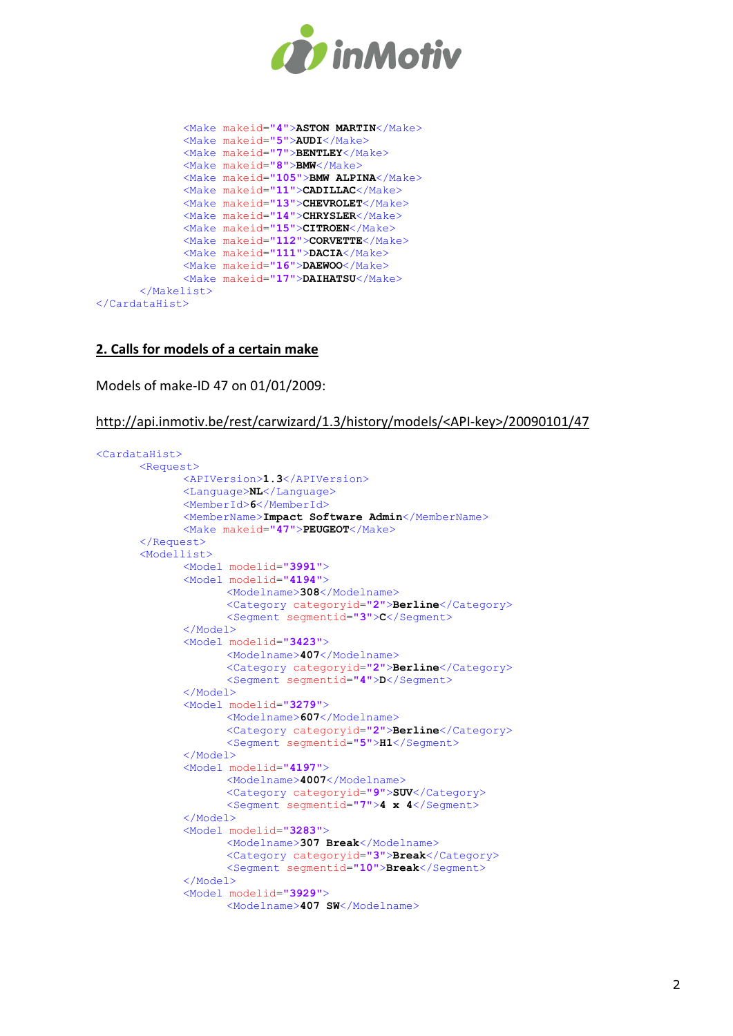

```
 <Make makeid="4">ASTON MARTIN</Make>
              <Make makeid="5">AUDI</Make>
              <Make makeid="7">BENTLEY</Make>
              <Make makeid="8">BMW</Make>
             <Make makeid="105">BMW ALPINA</Make>
              <Make makeid="11">CADILLAC</Make>
             <Make makeid="13">CHEVROLET</Make>
              <Make makeid="14">CHRYSLER</Make>
             <Make makeid="15">CITROEN</Make>
             <Make makeid="112">CORVETTE</Make>
              <Make makeid="111">DACIA</Make>
              <Make makeid="16">DAEWOO</Make>
              <Make makeid="17">DAIHATSU</Make>
      </Makelist>
</CardataHist>
```
## 2. Calls for models of a certain make

Models of make-ID 47 on 01/01/2009:

#### http://api.inmotiv.be/rest/carwizard/1.3/history/models/<API-key>/20090101/47

```
<CardataHist>
       <Request> 
               <APIVersion>1.3</APIVersion>
               <Language>NL</Language>
               <MemberId>6</MemberId>
              <MemberName>Impact Software Admin</MemberName>
             <Make makeid="47">PEUGEOT</Make>
       </Request>
       <Modellist>
               <Model modelid="3991">
               <Model modelid="4194">
                     <Modelname>308</Modelname>
                     <Category categoryid="2">Berline</Category>
                     <Segment segmentid="3">C</Segment>
               </Model>
               <Model modelid="3423">
                      <Modelname>407</Modelname>
                     <Category categoryid="2">Berline</Category>
                     <Segment segmentid="4">D</Segment>
               </Model>
               <Model modelid="3279">
                      <Modelname>607</Modelname>
                      <Category categoryid="2">Berline</Category>
                     <Segment segmentid="5">H1</Segment>
               </Model>
               <Model modelid="4197">
                      <Modelname>4007</Modelname>
                      <Category categoryid="9">SUV</Category>
                     <Segment segmentid="7">4 x 4</Segment>
               </Model>
               <Model modelid="3283">
                      <Modelname>307 Break</Modelname>
                      <Category categoryid="3">Break</Category>
                    <Segment segmentid="10">Break</Segment>
               </Model>
               <Model modelid="3929">
                     <Modelname>407 SW</Modelname>
```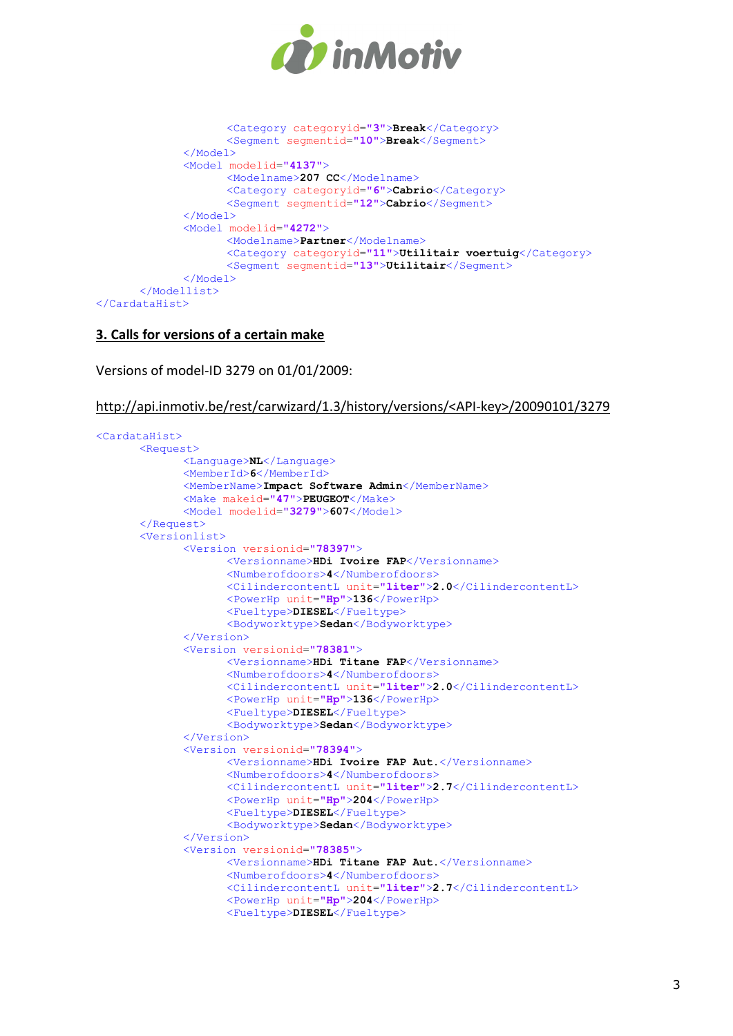

```
 <Category categoryid="3">Break</Category>
                     <Segment segmentid="10">Break</Segment>
              </Model>
              <Model modelid="4137">
                     <Modelname>207 CC</Modelname>
                     <Category categoryid="6">Cabrio</Category>
                     <Segment segmentid="12">Cabrio</Segment>
              </Model>
              <Model modelid="4272">
                    <Modelname>Partner</Modelname>
                     <Category categoryid="11">Utilitair voertuig</Category>
                     <Segment segmentid="13">Utilitair</Segment>
              </Model>
      </Modellist>
</CardataHist>
```
## 3. Calls for versions of a certain make

Versions of model-ID 3279 on 01/01/2009:

http://api.inmotiv.be/rest/carwizard/1.3/history/versions/<API-key>/20090101/3279

```
<CardataHist>
      <Request>
              <Language>NL</Language>
              <MemberId>6</MemberId>
             <MemberName>Impact Software Admin</MemberName>
              <Make makeid="47">PEUGEOT</Make>
              <Model modelid="3279">607</Model>
      </Request>
      <Versionlist>
              <Version versionid="78397">
                     <Versionname>HDi Ivoire FAP</Versionname>
                     <Numberofdoors>4</Numberofdoors>
                     <CilindercontentL unit="liter">2.0</CilindercontentL>
                     <PowerHp unit="Hp">136</PowerHp>
                     <Fueltype>DIESEL</Fueltype>
                     <Bodyworktype>Sedan</Bodyworktype>
              </Version>
              <Version versionid="78381">
                     <Versionname>HDi Titane FAP</Versionname>
                     <Numberofdoors>4</Numberofdoors>
                     <CilindercontentL unit="liter">2.0</CilindercontentL>
                     <PowerHp unit="Hp">136</PowerHp>
                     <Fueltype>DIESEL</Fueltype>
                     <Bodyworktype>Sedan</Bodyworktype>
              </Version>
              <Version versionid="78394">
                     <Versionname>HDi Ivoire FAP Aut.</Versionname>
                     <Numberofdoors>4</Numberofdoors>
                     <CilindercontentL unit="liter">2.7</CilindercontentL>
                     <PowerHp unit="Hp">204</PowerHp>
                     <Fueltype>DIESEL</Fueltype>
                     <Bodyworktype>Sedan</Bodyworktype>
              </Version>
              <Version versionid="78385">
                     <Versionname>HDi Titane FAP Aut.</Versionname>
                     <Numberofdoors>4</Numberofdoors>
                     <CilindercontentL unit="liter">2.7</CilindercontentL>
                     <PowerHp unit="Hp">204</PowerHp>
                     <Fueltype>DIESEL</Fueltype>
```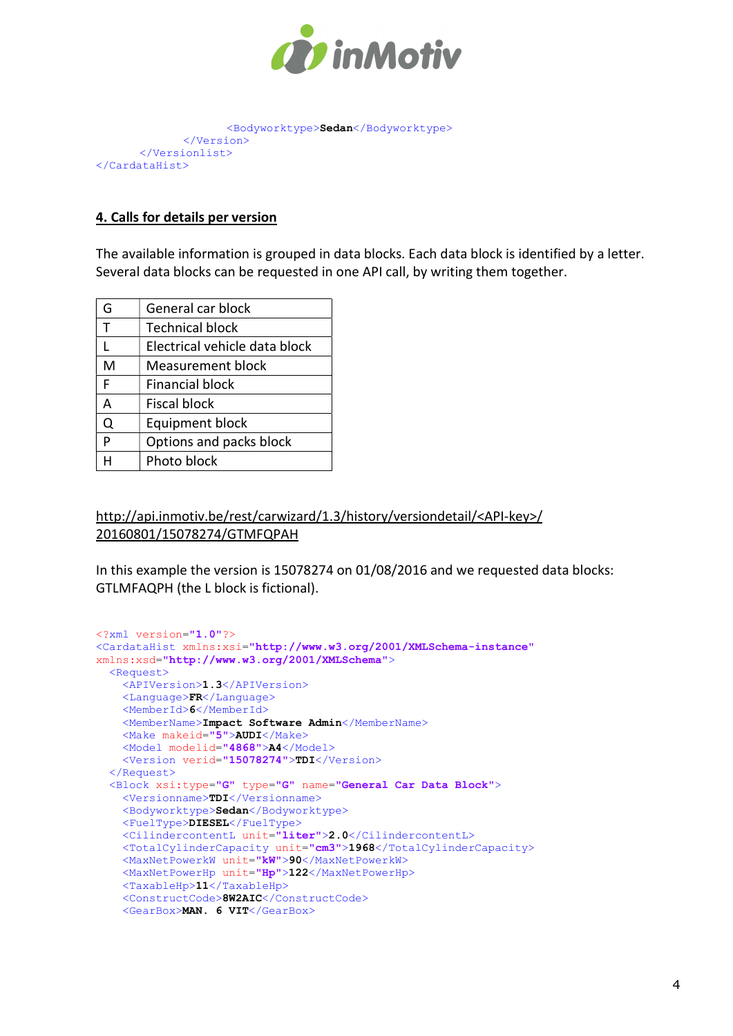

```
 <Bodyworktype>Sedan</Bodyworktype>
              </Version>
      </Versionlist>
</CardataHist>
```
# 4. Calls for details per version

The available information is grouped in data blocks. Each data block is identified by a letter. Several data blocks can be requested in one API call, by writing them together.

| G | General car block             |
|---|-------------------------------|
| т | <b>Technical block</b>        |
| L | Electrical vehicle data block |
| м | <b>Measurement block</b>      |
| F | <b>Financial block</b>        |
| A | Fiscal block                  |
| Q | <b>Equipment block</b>        |
| P | Options and packs block       |
|   | Photo block                   |
|   |                               |

http://api.inmotiv.be/rest/carwizard/1.3/history/versiondetail/<API-key>/ 20160801/15078274/GTMFQPAH

In this example the version is 15078274 on 01/08/2016 and we requested data blocks: GTLMFAQPH (the L block is fictional).

```
<?xml version="1.0"?>
<CardataHist xmlns:xsi="http://www.w3.org/2001/XMLSchema-instance"
xmlns:xsd="http://www.w3.org/2001/XMLSchema">
   <Request>
     <APIVersion>1.3</APIVersion>
     <Language>FR</Language>
    <MemberId>6</MemberId>
    <MemberName>Impact Software Admin</MemberName>
     <Make makeid="5">AUDI</Make>
    <Model modelid="4868">A4</Model>
     <Version verid="15078274">TDI</Version>
   </Request>
   <Block xsi:type="G" type="G" name="General Car Data Block">
     <Versionname>TDI</Versionname>
    <Bodyworktype>Sedan</Bodyworktype>
    <FuelType>DIESEL</FuelType>
     <CilindercontentL unit="liter">2.0</CilindercontentL>
     <TotalCylinderCapacity unit="cm3">1968</TotalCylinderCapacity>
     <MaxNetPowerkW unit="kW">90</MaxNetPowerkW>
     <MaxNetPowerHp unit="Hp">122</MaxNetPowerHp>
     <TaxableHp>11</TaxableHp>
     <ConstructCode>8W2AIC</ConstructCode>
     <GearBox>MAN. 6 VIT</GearBox>
```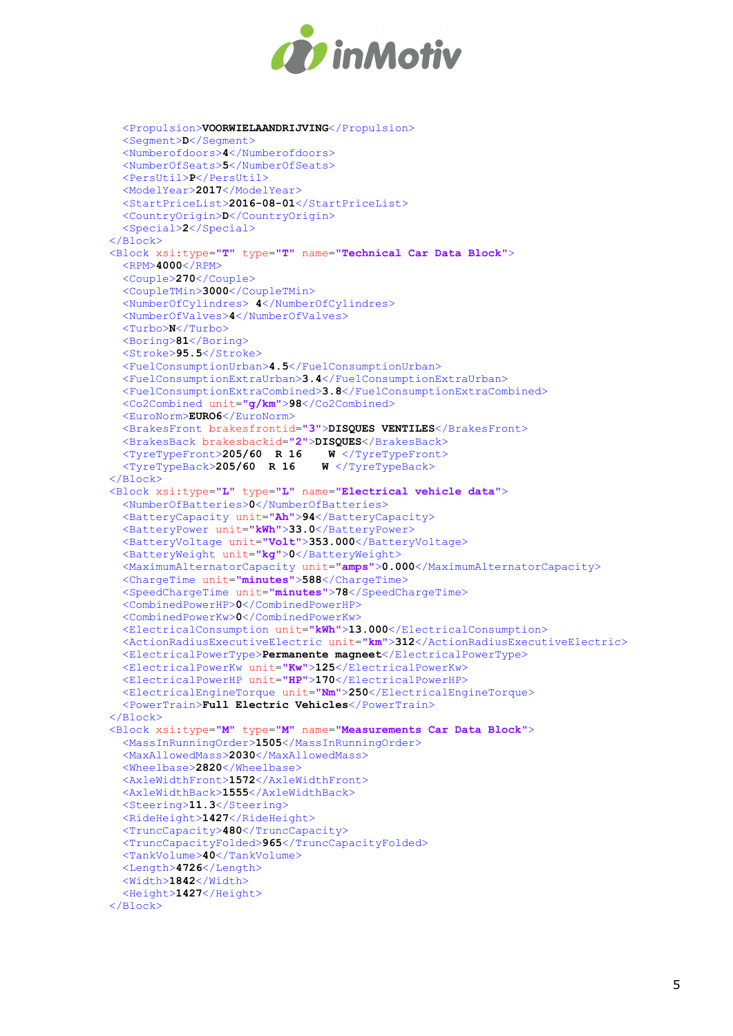

```
 <Propulsion>VOORWIELAANDRIJVING</Propulsion>
   <Segment>D</Segment>
   <Numberofdoors>4</Numberofdoors>
   <NumberOfSeats>5</NumberOfSeats>
   <PersUtil>P</PersUtil>
   <ModelYear>2017</ModelYear>
   <StartPriceList>2016-08-01</StartPriceList>
   <CountryOrigin>D</CountryOrigin>
   <Special>2</Special>
 </Block>
 <Block xsi:type="T" type="T" name="Technical Car Data Block">
   <RPM>4000</RPM>
   <Couple>270</Couple>
   <CoupleTMin>3000</CoupleTMin>
   <NumberOfCylindres> 4</NumberOfCylindres>
   <NumberOfValves>4</NumberOfValves>
   <Turbo>N</Turbo>
   <Boring>81</Boring>
   <Stroke>95.5</Stroke>
   <FuelConsumptionUrban>4.5</FuelConsumptionUrban>
   <FuelConsumptionExtraUrban>3.4</FuelConsumptionExtraUrban>
   <FuelConsumptionExtraCombined>3.8</FuelConsumptionExtraCombined>
   <Co2Combined unit="g/km">98</Co2Combined>
   <EuroNorm>EURO6</EuroNorm>
   <BrakesFront brakesfrontid="3">DISQUES VENTILES</BrakesFront>
   <BrakesBack brakesbackid="2">DISQUES</BrakesBack>
  \langleTyreTypeFront>205/60 R 16 W \langleTyreTypeFron\langleTyreTypeBack>205/60 R 16 W \langle/TyreTypeBack>
  \overline{\text{STvreTwoBack}} 205/60 R 16
 </Block> 
 <Block xsi:type="L" type="L" name="Electrical vehicle data">
   <NumberOfBatteries>0</NumberOfBatteries>
   <BatteryCapacity unit="Ah">94</BatteryCapacity>
   <BatteryPower unit="kWh">33.0</BatteryPower>
   <BatteryVoltage unit="Volt">353.000</BatteryVoltage>
   <BatteryWeight unit="kg">0</BatteryWeight>
   <MaximumAlternatorCapacity unit="amps">0.000</MaximumAlternatorCapacity>
   <ChargeTime unit="minutes">588</ChargeTime>
   <SpeedChargeTime unit="minutes">78</SpeedChargeTime>
   <CombinedPowerHP>0</CombinedPowerHP>
   <CombinedPowerKw>0</CombinedPowerKw>
   <ElectricalConsumption unit="kWh">13.000</ElectricalConsumption>
   <ActionRadiusExecutiveElectric unit="km">312</ActionRadiusExecutiveElectric>
  <ElectricalPowerType>Permanente magneet</ElectricalPowerType>
   <ElectricalPowerKw unit="Kw">125</ElectricalPowerKw>
   <ElectricalPowerHP unit="HP">170</ElectricalPowerHP>
   <ElectricalEngineTorque unit="Nm">250</ElectricalEngineTorque>
   <PowerTrain>Full Electric Vehicles</PowerTrain>
 </Block>
 <Block xsi:type="M" type="M" name="Measurements Car Data Block">
   <MassInRunningOrder>1505</MassInRunningOrder>
   <MaxAllowedMass>2030</MaxAllowedMass>
   <Wheelbase>2820</Wheelbase>
   <AxleWidthFront>1572</AxleWidthFront>
   <AxleWidthBack>1555</AxleWidthBack>
   <Steering>11.3</Steering>
   <RideHeight>1427</RideHeight>
   <TruncCapacity>480</TruncCapacity>
   <TruncCapacityFolded>965</TruncCapacityFolded>
   <TankVolume>40</TankVolume>
   <Length>4726</Length>
   <Width>1842</Width>
   <Height>1427</Height>
\langle/Block>
```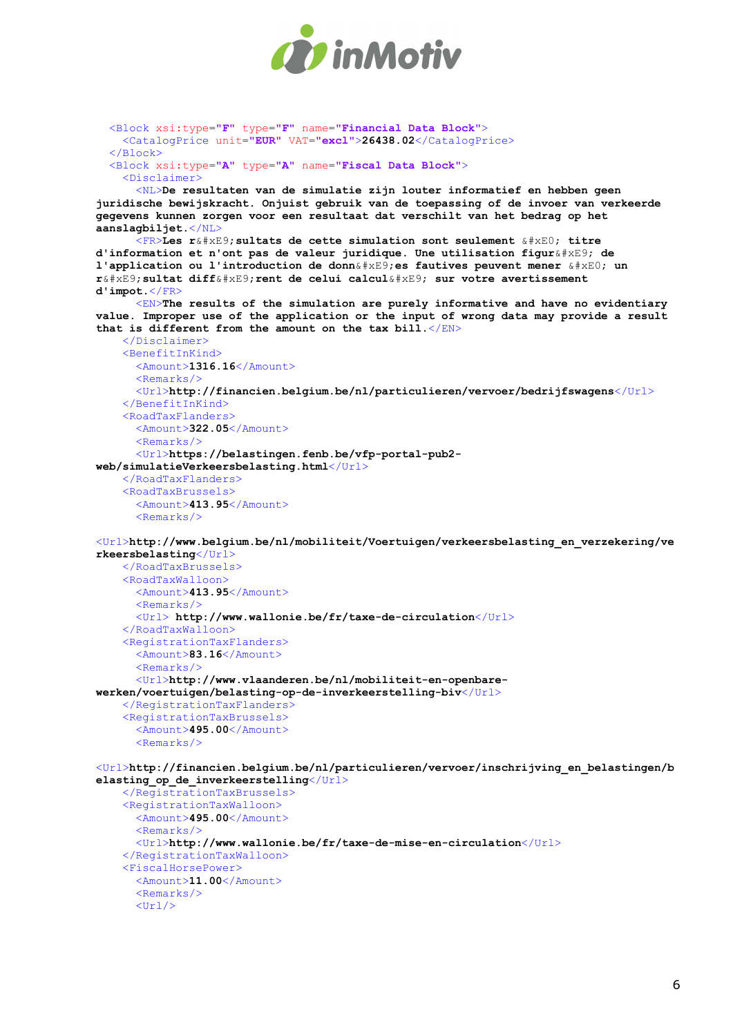

```
 <Block xsi:type="F" type="F" name="Financial Data Block">
     <CatalogPrice unit="EUR" VAT="excl">26438.02</CatalogPrice>
   </Block>
   <Block xsi:type="A" type="A" name="Fiscal Data Block">
     <Disclaimer>
       <NL>De resultaten van de simulatie zijn louter informatief en hebben geen 
juridische bewijskracht. Onjuist gebruik van de toepassing of de invoer van verkeerde 
gegevens kunnen zorgen voor een resultaat dat verschilt van het bedrag op het 
aanslagbiljet.</NL>
      \langle F \mathbb{R} \rangleLes ré sultats de cette simulation sont seulement à titre
d'information et n'ont pas de valeur juridique. Une utilisation figur\&\#x \to 0; de
l'application ou l'introduction de donn\& \# \times E9; es fautives peuvent mener \& \# \times E0; un
\mathtt{r\&\#xE9}; sultat diffé rent de celui calculé sur votre avertissement
d'impot.</FR>
      \leqEN>The results of the simulation are purely informative and have no evidentiary
value. Improper use of the application or the input of wrong data may provide a result 
that is different from the amount on the tax bill.\langle/EN>
     </Disclaimer>
     <BenefitInKind>
      <Amount>1316.16</Amount>
       <Remarks/>
       <Url>http://financien.belgium.be/nl/particulieren/vervoer/bedrijfswagens</Url>
     </BenefitInKind>
     <RoadTaxFlanders>
       <Amount>322.05</Amount>
       <Remarks/>
       <Url>https://belastingen.fenb.be/vfp-portal-pub2-
web/simulatieVerkeersbelasting.html</Url>
     </RoadTaxFlanders>
     <RoadTaxBrussels>
       <Amount>413.95</Amount>
       <Remarks/>
<Url>http://www.belgium.be/nl/mobiliteit/Voertuigen/verkeersbelasting_en_verzekering/ve
rkeersbelasting</Url>
     </RoadTaxBrussels>
     <RoadTaxWalloon>
       <Amount>413.95</Amount>
      <Remarks/>
       <Url> http://www.wallonie.be/fr/taxe-de-circulation</Url>
     </RoadTaxWalloon>
     <RegistrationTaxFlanders>
       <Amount>83.16</Amount>
       <Remarks/>
       <Url>http://www.vlaanderen.be/nl/mobiliteit-en-openbare-
werken/voertuigen/belasting-op-de-inverkeerstelling-biv</Url>
     </RegistrationTaxFlanders>
     <RegistrationTaxBrussels>
       <Amount>495.00</Amount>
      <Remarks/>
<Url>http://financien.belgium.be/nl/particulieren/vervoer/inschrijving_en_belastingen/b
elasting op de inverkeerstelling</Url>
     </RegistrationTaxBrussels>
     <RegistrationTaxWalloon>
       <Amount>495.00</Amount>
      <Remarks/>\langle \text{Url>http://www.wallonie.be/fr/taxe-de-mise-en-circulation</a> </RegistrationTaxWalloon>
     <FiscalHorsePower>
       <Amount>11.00</Amount>
      <Remarks/>\langleUrl/\rangle
```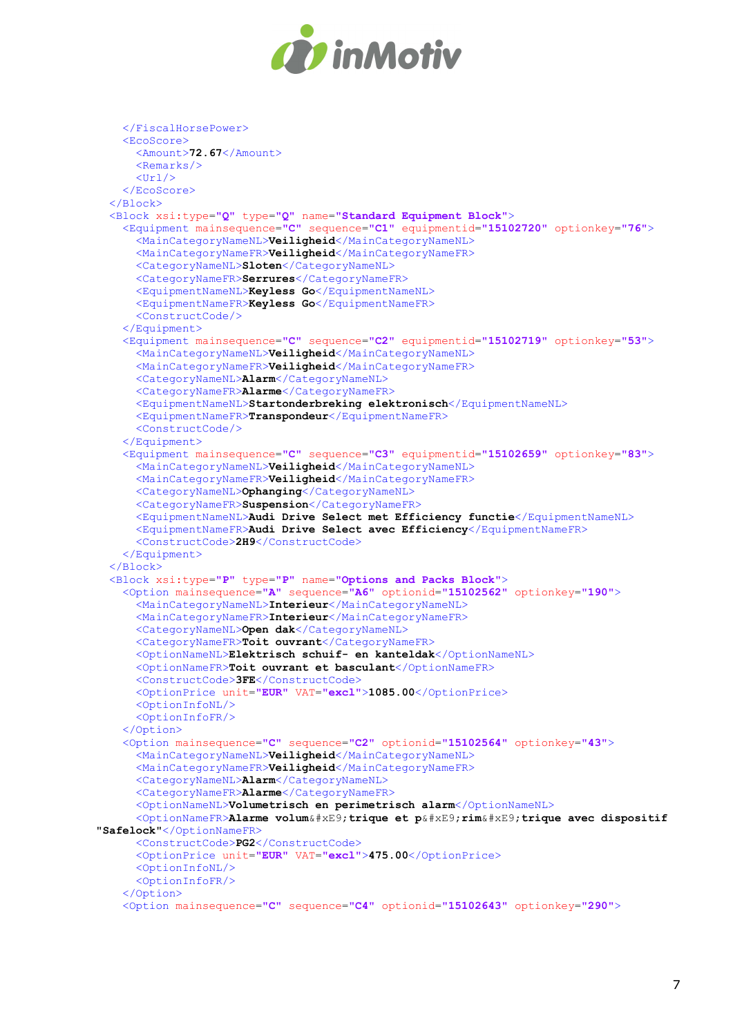

```
 </FiscalHorsePower>
     <EcoScore>
       <Amount>72.67</Amount>
      <Remarks/>\langleUrl/ </EcoScore>
   </Block>
   <Block xsi:type="Q" type="Q" name="Standard Equipment Block">
     <Equipment mainsequence="C" sequence="C1" equipmentid="15102720" optionkey="76">
       <MainCategoryNameNL>Veiligheid</MainCategoryNameNL>
       <MainCategoryNameFR>Veiligheid</MainCategoryNameFR>
       <CategoryNameNL>Sloten</CategoryNameNL>
       <CategoryNameFR>Serrures</CategoryNameFR>
       <EquipmentNameNL>Keyless Go</EquipmentNameNL>
       <EquipmentNameFR>Keyless Go</EquipmentNameFR>
       <ConstructCode/>
     </Equipment>
     <Equipment mainsequence="C" sequence="C2" equipmentid="15102719" optionkey="53">
       <MainCategoryNameNL>Veiligheid</MainCategoryNameNL>
       <MainCategoryNameFR>Veiligheid</MainCategoryNameFR>
       <CategoryNameNL>Alarm</CategoryNameNL>
       <CategoryNameFR>Alarme</CategoryNameFR>
       <EquipmentNameNL>Startonderbreking elektronisch</EquipmentNameNL>
       <EquipmentNameFR>Transpondeur</EquipmentNameFR>
       <ConstructCode/>
     </Equipment>
     <Equipment mainsequence="C" sequence="C3" equipmentid="15102659" optionkey="83">
       <MainCategoryNameNL>Veiligheid</MainCategoryNameNL>
       <MainCategoryNameFR>Veiligheid</MainCategoryNameFR>
       <CategoryNameNL>Ophanging</CategoryNameNL>
       <CategoryNameFR>Suspension</CategoryNameFR>
       <EquipmentNameNL>Audi Drive Select met Efficiency functie</EquipmentNameNL>
       <EquipmentNameFR>Audi Drive Select avec Efficiency</EquipmentNameFR>
       <ConstructCode>2H9</ConstructCode>
     </Equipment>
   </Block>
   <Block xsi:type="P" type="P" name="Options and Packs Block">
     <Option mainsequence="A" sequence="A6" optionid="15102562" optionkey="190">
       <MainCategoryNameNL>Interieur</MainCategoryNameNL>
       <MainCategoryNameFR>Interieur</MainCategoryNameFR>
       <CategoryNameNL>Open dak</CategoryNameNL>
       <CategoryNameFR>Toit ouvrant</CategoryNameFR>
       <OptionNameNL>Elektrisch schuif- en kanteldak</OptionNameNL>
       <OptionNameFR>Toit ouvrant et basculant</OptionNameFR>
       <ConstructCode>3FE</ConstructCode>
       <OptionPrice unit="EUR" VAT="excl">1085.00</OptionPrice>
       <OptionInfoNL/>
       <OptionInfoFR/>
     </Option>
     <Option mainsequence="C" sequence="C2" optionid="15102564" optionkey="43">
       <MainCategoryNameNL>Veiligheid</MainCategoryNameNL>
       <MainCategoryNameFR>Veiligheid</MainCategoryNameFR>
       <CategoryNameNL>Alarm</CategoryNameNL>
       <CategoryNameFR>Alarme</CategoryNameFR>
       <OptionNameNL>Volumetrisch en perimetrisch alarm</OptionNameNL>
      <OptionNameFR>Alarme volum&#xE9;trique et p&#xE9;rim&#xE9;trique avec dispositif
"Safelock"</OptionNameFR>
       <ConstructCode>PG2</ConstructCode>
       <OptionPrice unit="EUR" VAT="excl">475.00</OptionPrice>
       <OptionInfoNL/>
       <OptionInfoFR/>
     </Option>
     <Option mainsequence="C" sequence="C4" optionid="15102643" optionkey="290">
```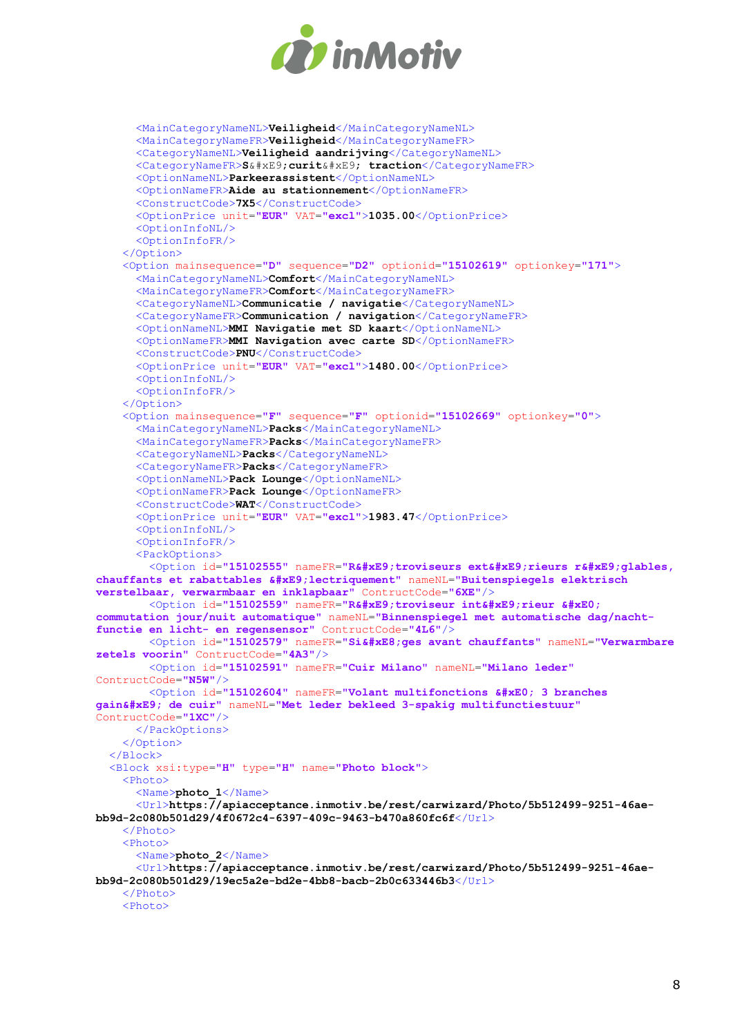

```
 <MainCategoryNameNL>Veiligheid</MainCategoryNameNL>
       <MainCategoryNameFR>Veiligheid</MainCategoryNameFR>
       <CategoryNameNL>Veiligheid aandrijving</CategoryNameNL>
      <CategoryNameFR>S&#xE9; curit&#xE9; traction</CategoryNameFR>
       <OptionNameNL>Parkeerassistent</OptionNameNL>
       <OptionNameFR>Aide au stationnement</OptionNameFR>
       <ConstructCode>7X5</ConstructCode>
       <OptionPrice unit="EUR" VAT="excl">1035.00</OptionPrice>
       <OptionInfoNL/>
       <OptionInfoFR/>
     </Option>
     <Option mainsequence="D" sequence="D2" optionid="15102619" optionkey="171">
       <MainCategoryNameNL>Comfort</MainCategoryNameNL>
       <MainCategoryNameFR>Comfort</MainCategoryNameFR>
       <CategoryNameNL>Communicatie / navigatie</CategoryNameNL>
       <CategoryNameFR>Communication / navigation</CategoryNameFR>
       <OptionNameNL>MMI Navigatie met SD kaart</OptionNameNL>
       <OptionNameFR>MMI Navigation avec carte SD</OptionNameFR>
       <ConstructCode>PNU</ConstructCode>
       <OptionPrice unit="EUR" VAT="excl">1480.00</OptionPrice>
       <OptionInfoNL/>
       <OptionInfoFR/>
     </Option>
     <Option mainsequence="F" sequence="F" optionid="15102669" optionkey="0">
      -<br><MainCategoryNameNL>Packs</MainCategoryNameNL>
       <MainCategoryNameFR>Packs</MainCategoryNameFR>
       <CategoryNameNL>Packs</CategoryNameNL>
       <CategoryNameFR>Packs</CategoryNameFR>
       <OptionNameNL>Pack Lounge</OptionNameNL>
       <OptionNameFR>Pack Lounge</OptionNameFR>
       <ConstructCode>WAT</ConstructCode>
       <OptionPrice unit="EUR" VAT="excl">1983.47</OptionPrice>
       <OptionInfoNL/>
       <OptionInfoFR/>
       <PackOptions>
        <Option id="15102555" nameFR="R&#xE9;troviseurs ext&#xE9;rieurs r&#xE9;glables,
chauffants et rabattables é lectriquement" nameNL="Buitenspiegels elektrisch
verstelbaar, verwarmbaar en inklapbaar" ContructCode="6XE"/>
        <Option id="15102559" nameFR="R&#xE9;troviseur int&#xE9;rieur &#xE0;
commutation jour/nuit automatique" nameNL="Binnenspiegel met automatische dag/nacht-
functie en licht- en regensensor" ContructCode="4L6"/>
        <Option id="15102579" nameFR="Si&#xE8; ges avant chauffants" nameNL="Verwarmbare
zetels voorin" ContructCode="4A3"/>
         <Option id="15102591" nameFR="Cuir Milano" nameNL="Milano leder"
ContructCode="N5W"/>
        <Option id="15102604" nameFR="Volant multifonctions à 3 branches
gainé de cuir" nameNL="Met leder bekleed 3-spakig multifunctiestuur"
ContructCode="1XC"/>
      </PackOptions>
     </Option>
   </Block>
   <Block xsi:type="H" type="H" name="Photo block">
     <Photo>
      <Name>photo 1</Name>
       <Url>https://apiacceptance.inmotiv.be/rest/carwizard/Photo/5b512499-9251-46ae-
bb9d-2c080b501d29/4f0672c4-6397-409c-9463-b470a860fc6f</Url>
    \langle/Photo>
     <Photo>
       <Name>photo_2</Name>
       <Url>https://apiacceptance.inmotiv.be/rest/carwizard/Photo/5b512499-9251-46ae-
bb9d-2c080b501d29/19ec5a2e-bd2e-4bb8-bacb-2b0c633446b3</Url>
    \langle/Photo>
     <Photo>
```